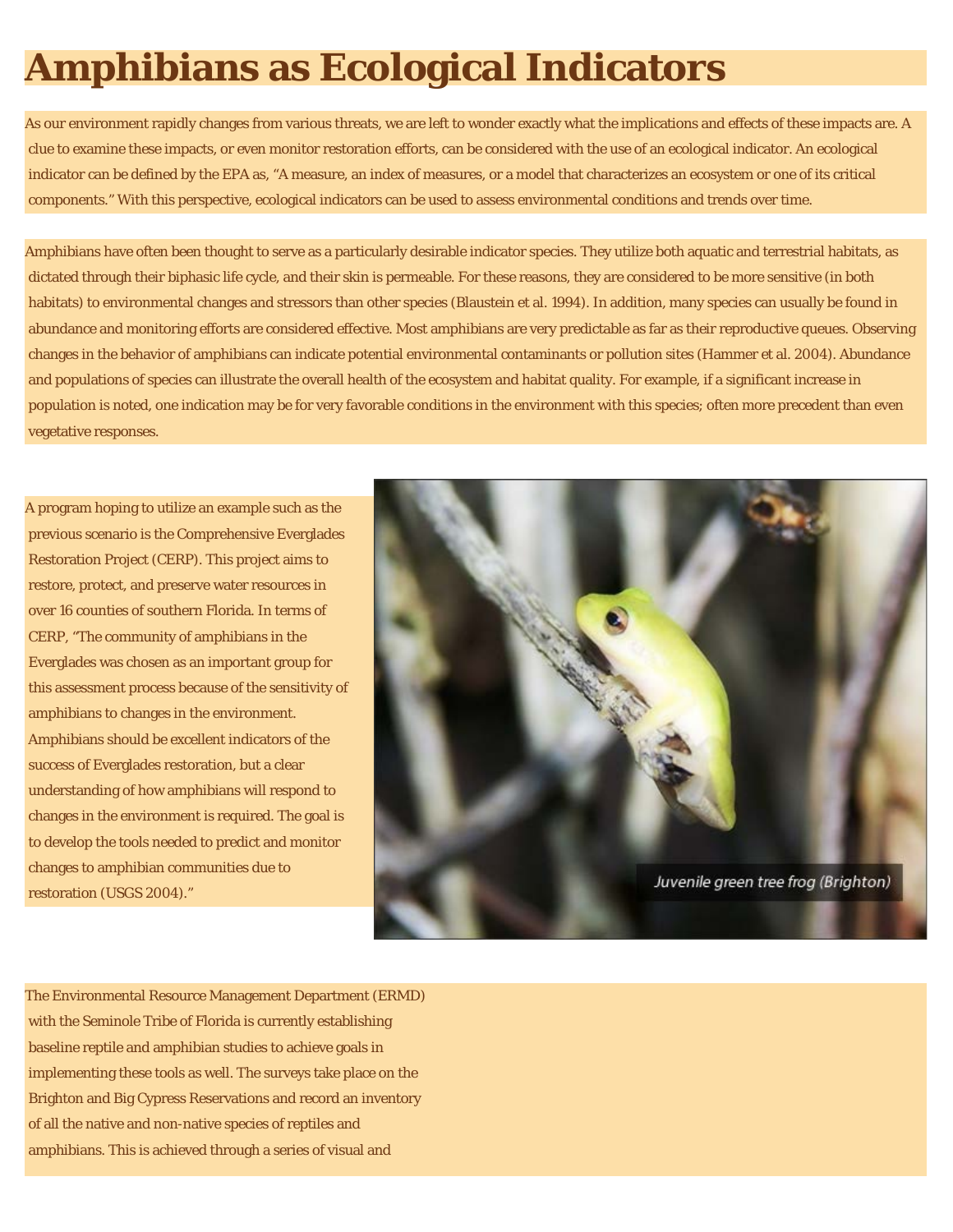## **Amphibians as Ecological Indicators**

As our environment rapidly changes from various threats, we are left to wonder exactly what the implications and effects of these impacts are. A clue to examine these impacts, or even monitor restoration efforts, can be considered with the use of an ecological indicator. An ecological indicator can be defined by the EPA as, "A measure, an index of measures, or a model that characterizes an ecosystem or one of its critical components." With this perspective, ecological indicators can be used to assess environmental conditions and trends over time.

Amphibians have often been thought to serve as a particularly desirable indicator species. They utilize both aquatic and terrestrial habitats, as dictated through their biphasic life cycle, and their skin is permeable. For these reasons, they are considered to be more sensitive (in both habitats) to environmental changes and stressors than other species (Blaustein et al. 1994). In addition, many species can usually be found in abundance and monitoring efforts are considered effective. Most amphibians are very predictable as far as their reproductive queues. Observing changes in the behavior of amphibians can indicate potential environmental contaminants or pollution sites (Hammer et al. 2004). Abundance and populations of species can illustrate the overall health of the ecosystem and habitat quality. For example, if a significant increase in population is noted, one indication may be for very favorable conditions in the environment with this species; often more precedent than even vegetative responses.

A program hoping to utilize an example such as the previous scenario is the Comprehensive Everglades Restoration Project (CERP). This project aims to restore, protect, and preserve water resources in over 16 counties of southern Florida. In terms of CERP, "The community of amphibians in the Everglades was chosen as an important group for this assessment process because of the sensitivity of amphibians to changes in the environment. Amphibians should be excellent indicators of the success of Everglades restoration, but a clear understanding of how amphibians will respond to changes in the environment is required. The goal is to develop the tools needed to predict and monitor changes to amphibian communities due to restoration (USGS 2004)."



The Environmental Resource Management Department (ERMD) with the Seminole Tribe of Florida is currently establishing baseline reptile and amphibian studies to achieve goals in implementing these tools as well. The surveys take place on the Brighton and Big Cypress Reservations and record an inventory of all the native and non-native species of reptiles and amphibians. This is achieved through a series of visual and